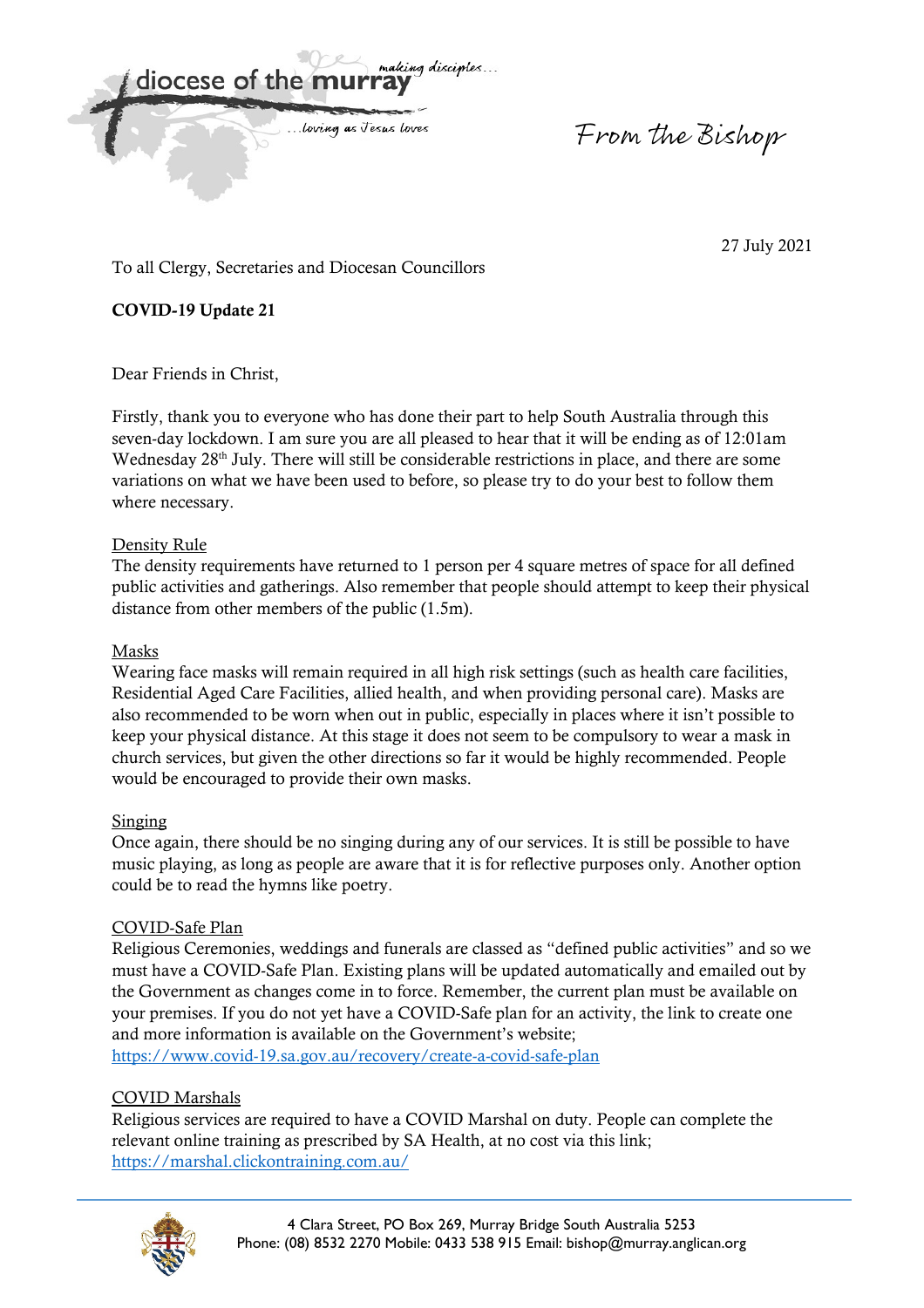making disciples diocese of the m

... loving as Jesus loves

From the Bishop

27 July 2021

To all Clergy, Secretaries and Diocesan Councillors

**COVID-19 Update 21** 

Dear Friends in Christ,

Firstly, thank you to everyone who has done their part to help South Australia through this seven-day lockdown. I am sure you are all pleased to hear that it will be ending as of 12:01am Wednesday 28<sup>th</sup> July. There will still be considerable restrictions in place, and there are some variations on what we have been used to before, so please try to do your best to follow them where necessary.

## Density Rule

The density requirements have returned to 1 person per 4 square metres of space for all defined public activities and gatherings. Also remember that people should attempt to keep their physical distance from other members of the public (1.5m).

## Masks

Wearing face masks will remain required in all high risk settings (such as health care facilities, Residential Aged Care Facilities, allied health, and when providing personal care). Masks are also recommended to be worn when out in public, especially in places where it isn't possible to keep your physical distance. At this stage it does not seem to be compulsory to wear a mask in church services, but given the other directions so far it would be highly recommended. People would be encouraged to provide their own masks.

#### Singing

Once again, there should be no singing during any of our services. It is still be possible to have music playing, as long as people are aware that it is for reflective purposes only. Another option could be to read the hymns like poetry.

#### COVID-Safe Plan

Religious Ceremonies, weddings and funerals are classed as "defined public activities" and so we must have a COVID-Safe Plan. Existing plans will be updated automatically and emailed out by the Government as changes come in to force. Remember, the current plan must be available on your premises. If you do not yet have a COVID-Safe plan for an activity, the link to create one and more information is available on the Government's website; https://www.covid-19.sa.gov.au/recovery/create-a-covid-safe-plan

# COVID Marshals

Religious services are required to have a COVID Marshal on duty. People can complete the relevant online training as prescribed by SA Health, at no cost via this link; https://marshal.clickontraining.com.au/

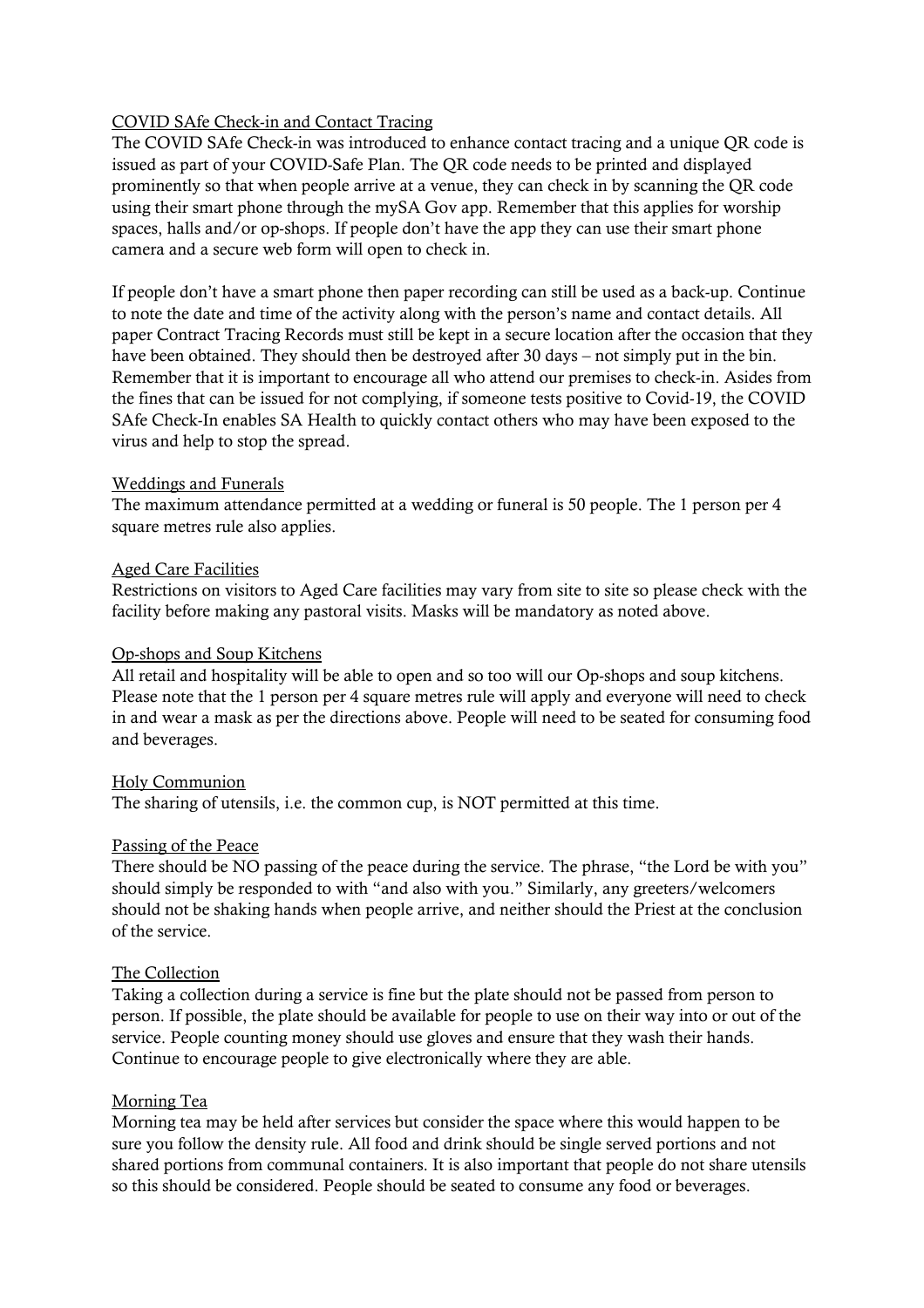#### COVID SAfe Check-in and Contact Tracing

The COVID SAfe Check-in was introduced to enhance contact tracing and a unique QR code is issued as part of your COVID-Safe Plan. The QR code needs to be printed and displayed prominently so that when people arrive at a venue, they can check in by scanning the QR code using their smart phone through the mySA Gov app. Remember that this applies for worship spaces, halls and/or op-shops. If people don't have the app they can use their smart phone camera and a secure web form will open to check in.

If people don't have a smart phone then paper recording can still be used as a back-up. Continue to note the date and time of the activity along with the person's name and contact details. All paper Contract Tracing Records must still be kept in a secure location after the occasion that they have been obtained. They should then be destroyed after 30 days – not simply put in the bin. Remember that it is important to encourage all who attend our premises to check-in. Asides from the fines that can be issued for not complying, if someone tests positive to Covid-19, the COVID SAfe Check-In enables SA Health to quickly contact others who may have been exposed to the virus and help to stop the spread.

#### Weddings and Funerals

The maximum attendance permitted at a wedding or funeral is 50 people. The 1 person per 4 square metres rule also applies.

## Aged Care Facilities

Restrictions on visitors to Aged Care facilities may vary from site to site so please check with the facility before making any pastoral visits. Masks will be mandatory as noted above.

#### Op-shops and Soup Kitchens

All retail and hospitality will be able to open and so too will our Op-shops and soup kitchens. Please note that the 1 person per 4 square metres rule will apply and everyone will need to check in and wear a mask as per the directions above. People will need to be seated for consuming food and beverages.

#### Holy Communion

The sharing of utensils, i.e. the common cup, is NOT permitted at this time.

#### Passing of the Peace

There should be NO passing of the peace during the service. The phrase, "the Lord be with you" should simply be responded to with "and also with you." Similarly, any greeters/welcomers should not be shaking hands when people arrive, and neither should the Priest at the conclusion of the service.

#### The Collection

Taking a collection during a service is fine but the plate should not be passed from person to person. If possible, the plate should be available for people to use on their way into or out of the service. People counting money should use gloves and ensure that they wash their hands. Continue to encourage people to give electronically where they are able.

#### Morning Tea

Morning tea may be held after services but consider the space where this would happen to be sure you follow the density rule. All food and drink should be single served portions and not shared portions from communal containers. It is also important that people do not share utensils so this should be considered. People should be seated to consume any food or beverages.